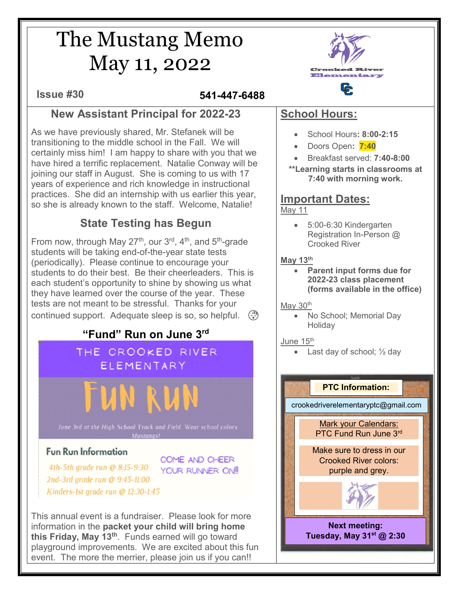# The Mustang Memo May 11, 2022

**Issue #30 541-447-6488**

## **New Assistant Principal for 2022-23**

As we have previously shared, Mr. Stefanek will be transitioning to the middle school in the Fall. We will certainly miss him! I am happy to share with you that we have hired a terrific replacement. Natalie Conway will be joining our staff in August. She is coming to us with 17 years of experience and rich knowledge in instructional practices. She did an internship with us earlier this year, so she is already known to the staff. Welcome, Natalie!

# **State Testing has Begun**

From now, through May 27<sup>th</sup>, our 3<sup>rd</sup>, 4<sup>th</sup>, and 5<sup>th</sup>-grade students will be taking end-of-the-year state tests (periodically). Please continue to encourage your students to do their best. Be their cheerleaders. This is each student's opportunity to shine by showing us what they have learned over the course of the year. These tests are not meant to be stressful. Thanks for your continued support. Adequate sleep is so, so helpful.  $\binom{3}{3}$ 

## **"Fund" Run on June 3rd**

#### THE CROOKED RIVER ELEMENTARY

### **Fun Run Information**

COME AND CHEER 4th-5th grade run @ 8:15-9:30 YOUR RUNNER ON! 2nd-3rd grade run @ 9:45-11:00 Kinders-1st grade run @ 12:30-1:45

This annual event is a fundraiser. Please look for more information in the **packet your child will bring home this Friday, May 13th**. Funds earned will go toward playground improvements. We are excited about this fun event. The more the merrier, please join us if you can!!



# **School Hours:**

- School Hours**: 8:00-2:15**
- Doors Open**: 7:40**
- Breakfast served: **7:40-8:00**
- **\*\*Learning starts in classrooms at 7:40 with morning work.**

#### **Important Dates:**  May 11

• 5:00-6:30 Kindergarten Registration In-Person @ Crooked River

#### **May 13th**

• **Parent input forms due for 2022-23 class placement (forms available in the office)**

#### May 30<sup>th</sup>

• No School; Memorial Day **Holidav** 

#### June 15<sup>th</sup>

Last day of school;  $\frac{1}{2}$  day